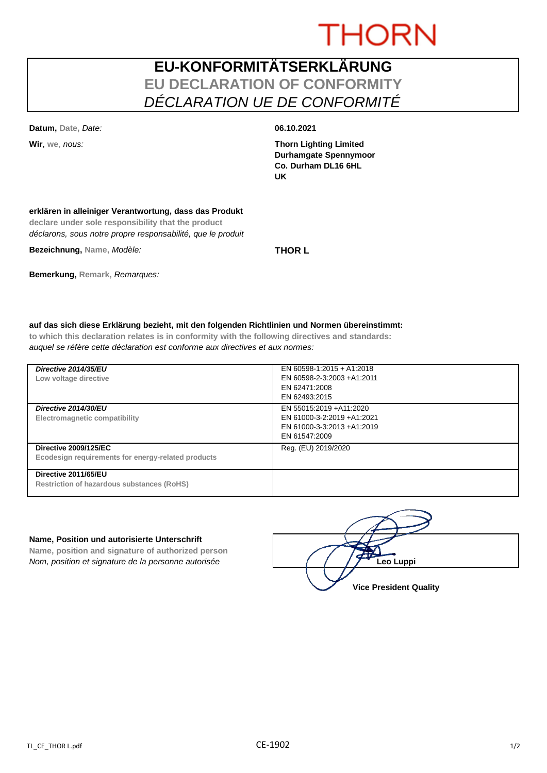# **THORN**

## **EU-KONFORMITÄTSERKLÄRUNG EU DECLARATION OF CONFORMITY** *DÉCLARATION UE DE CONFORMITÉ*

**Datum, Date,** *Date:* **06.10.2021**

**Wir**, **we**, *nous:* **Thorn Lighting Limited Durhamgate Spennymoor Co. Durham DL16 6HL UK**

### **erklären in alleiniger Verantwortung, dass das Produkt**

**declare under sole responsibility that the product** *déclarons, sous notre propre responsabilité, que le produit*

**Bezeichnung, Name,** *Modèle:* **THOR L**

# **Bemerkung, Remark,** *Remarques:*

### **auf das sich diese Erklärung bezieht, mit den folgenden Richtlinien und Normen übereinstimmt:**

**to which this declaration relates is in conformity with the following directives and standards:** *auquel se réfère cette déclaration est conforme aux directives et aux normes:*

| Directive 2014/35/EU<br>Low voltage directive                                      | EN 60598-1:2015 + A1:2018<br>EN 60598-2-3:2003 +A1:2011<br>EN 62471:2008<br>EN 62493:2015             |
|------------------------------------------------------------------------------------|-------------------------------------------------------------------------------------------------------|
| Directive 2014/30/EU<br>Electromagnetic compatibility                              | EN 55015:2019 + A11:2020<br>EN 61000-3-2:2019 +A1:2021<br>EN 61000-3-3:2013 +A1:2019<br>EN 61547:2009 |
| <b>Directive 2009/125/EC</b><br>Ecodesign requirements for energy-related products | Reg. (EU) 2019/2020                                                                                   |
| Directive 2011/65/EU<br>Restriction of hazardous substances (RoHS)                 |                                                                                                       |

### **Name, Position und autorisierte Unterschrift**

**Name, position and signature of authorized person** *Nom, position et signature de la personne autorisée*  $\left( \begin{array}{cc} \end{array} \right)$   $\left( \begin{array}{cc} \end{array} \right)$ **Leo Luppi** 

**Vice President Quality**